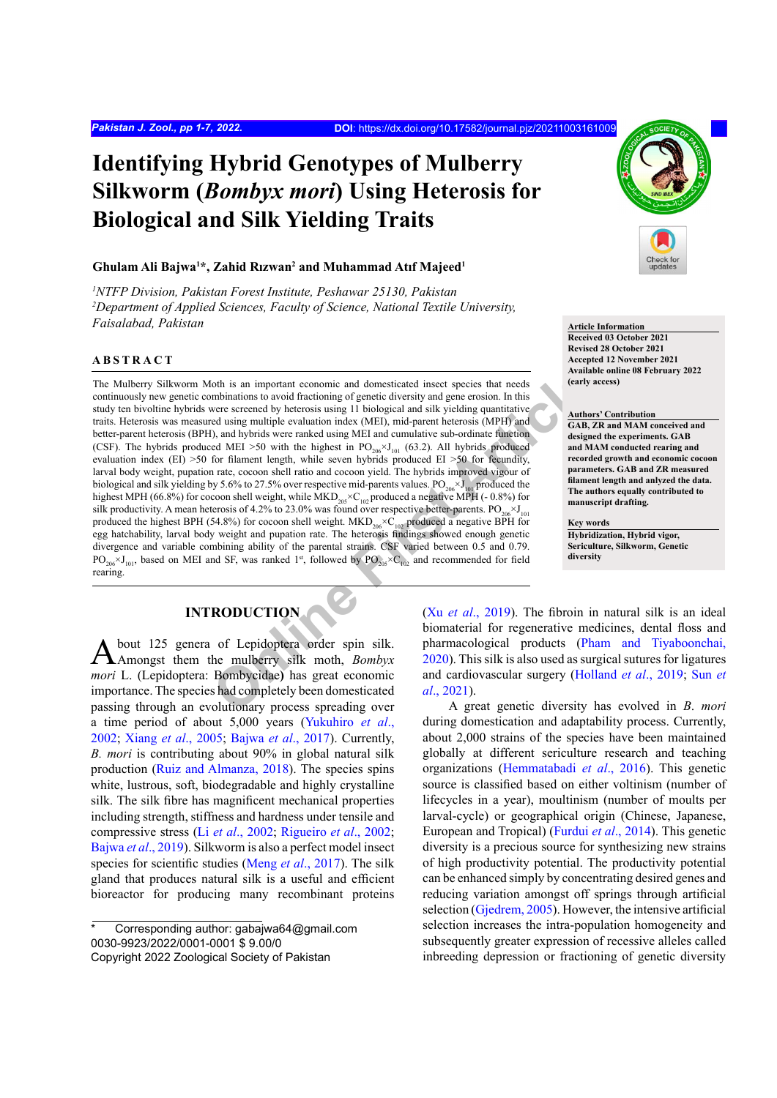# **Identifying Hybrid Genotypes of Mulberry Silkworm (***Bombyx mori***) Using Heterosis for Biological and Silk Yielding Traits**

#### **Ghulam Ali Bajwa1 \*, Zahid Rızwan<sup>2</sup> and Muhammad Atıf Majeed<sup>1</sup>**

*1 NTFP Division, Pakistan Forest Institute, Peshawar 25130, Pakistan 2 Department of Applied Sciences, Faculty of Science, National Textile University, Faisalabad, Pakistan* **Article Information** 

#### **ABSTRACT**

oth is an important economic and domesticated insect species that needs<br>
were screened by heterosis using 11 biological and silk yielding quantitative<br>
or screened by heterosis using 11 biological and silk yielding quanti The Mulberry Silkworm Moth is an important economic and domesticated insect species that needs continuously new genetic combinations to avoid fractioning of genetic diversity and gene erosion. In this study ten bivoltine hybrids were screened by heterosis using 11 biological and silk yielding quantitative traits. Heterosis was measured using multiple evaluation index (MEI), mid-parent heterosis (MPH) and better-parent heterosis (BPH), and hybrids were ranked using MEI and cumulative sub-ordinate function (CSF). The hybrids produced MEI >50 with the highest in  $PO_{206} \times J_{101}$  (63.2). All hybrids produced evaluation index (EI) >50 for filament length, while seven hybrids produced EI >50 for fecundity, larval body weight, pupation rate, cocoon shell ratio and cocoon yield. The hybrids improved vigour of biological and silk yielding by 5.6% to 27.5% over respective mid-parents values.  $PO_{206} \times J_{101}$  produced the highest MPH (66.8%) for cocoon shell weight, while MKD<sub>205</sub>×C<sub>102</sub> produced a negative MPH (-0.8%) for silk productivity. A mean heterosis of 4.2% to 23.0% was found over respective better-parents.  $PO_{206} \times J_{101}$ produced the highest BPH (54.8%) for cocoon shell weight.  $MKD_{206} \times C_{102}$  produced a negative BPH for egg hatchability, larval body weight and pupation rate. The heterosis findings showed enough genetic divergence and variable combining ability of the parental strains. CSF varied between 0.5 and 0.79.  $PO_{206} \times J_{101}$ , based on MEI and SF, was ranked 1<sup>st</sup>, followed by  $PO_{205} \times C_{102}$  and recommended for field rearing.

## **INTRODUCTION**

About 125 genera of Lepidoptera order spin silk. Amongst them the mulberry silk moth, *Bombyx mori* L. (Lepidoptera: Bombycidae**)** has great economic importance. The species had completely been domesticated passing through an evolutionary process spreading over a time period of about 5,000 years ([Yukuhiro](#page-6-0) *et al*., [2002;](#page-6-0) Xiang *et al*[., 2005;](#page-6-1) Bajwa *et al*[., 2017\)](#page-5-0). Currently, *B. mori* is contributing about 90% in global natural silk production ([Ruiz and Almanza, 2018](#page-6-2)). The species spins white, lustrous, soft, biodegradable and highly crystalline silk. The silk fibre has magnificent mechanical properties including strength, stiffness and hardness under tensile and compressive stress (Li *et al*[., 2002](#page-6-3); [Rigueiro](#page-6-4) *et al*., 2002; [Bajwa](#page-5-1) *et al*., 2019). Silkworm is also a perfect model insect species for scientific studies (Meng *et al*[., 2017\)](#page-6-5). The silk gland that produces natural silk is a useful and efficient bioreactor for producing many recombinant proteins



**Received 03 October 2021 Revised 28 October 2021 Accepted 12 November 2021 Available online 08 February 2022 (early access)**

#### **Authors' Contribution**

**GAB, ZR and MAM conceived and designed the experiments. GAB and MAM conducted rearing and recorded growth and economic cocoon parameters. GAB and ZR measured filament length and anlyzed the data. The authors equally contributed to manuscript drafting.**

**Key words Hybridization, Hybrid vigor, Sericulture, Silkworm, Genetic diversity**

(Xu *et al*., 2019). The fibroin in natural silk is an ideal biomaterial for regenerative medicines, dental floss and pharmacological products [\(Pham and Tiyaboonchai,](#page-6-7) 2020). This silk is also used as surgical sutures for ligatures and cardiovascular surgery ([Holland](#page-5-2) *et al*., 2019; [Sun](#page-6-8) *et al*., 2021).

A great genetic diversity has evolved in *B*. *mori* during domestication and adaptability process. Currently, about 2,000 strains of the species have been maintained globally at different sericulture research and teaching organizations [\(Hemmatabadi](#page-5-3) *et al*., 2016). This genetic source is classified based on either voltinism (number of lifecycles in a year), moultinism (number of moults per larval-cycle) or geographical origin (Chinese, Japanese, European and Tropical) [\(Furdui](#page-5-4) *et al*., 2014). This genetic diversity is a precious source for synthesizing new strains of high productivity potential. The productivity potential can be enhanced simply by concentrating desired genes and reducing variation amongst off springs through artificial selection [\(Gjedrem, 2005](#page-5-5)). However, the intensive artificial selection increases the intra-population homogeneity and subsequently greater expression of recessive alleles called inbreeding depression or fractioning of genetic diversity

Corresponding author: gabajwa64@gmail.com 0030-9923/2022/0001-0001 \$ 9.00/0 Copyright 2022 Zoological Society of Pakistan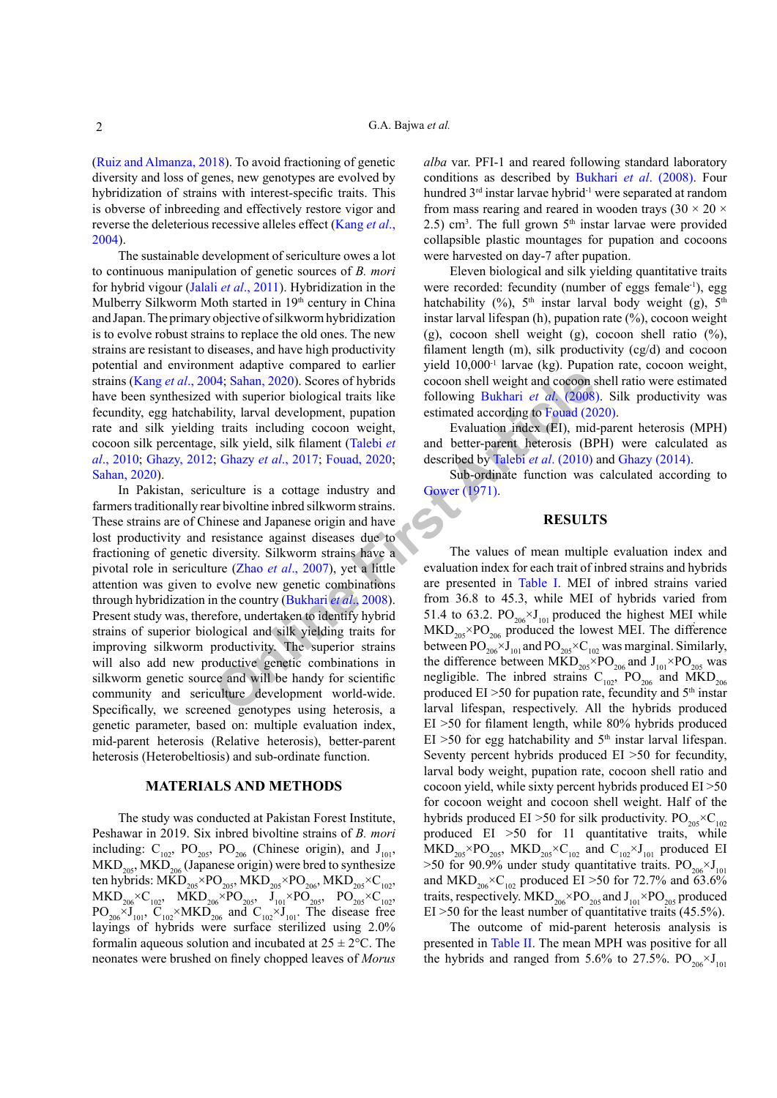[\(Ruiz and Almanza, 2018](#page-6-2)). To avoid fractioning of genetic diversity and loss of genes, new genotypes are evolved by hybridization of strains with interest-specific traits. This is obverse of inbreeding and effectively restore vigor and reverse the deleterious recessive alleles effect [\(Kang](#page-5-6) *et al*., [2004\)](#page-5-6).

The sustainable development of sericulture owes a lot to continuous manipulation of genetic sources of *B. mori* for hybrid vigour (Jalali *et al*[., 2011](#page-5-7)). Hybridization in the Mulberry Silkworm Moth started in 19<sup>th</sup> century in China and Japan. The primary objective of silkworm hybridization is to evolve robust strains to replace the old ones. The new strains are resistant to diseases, and have high productivity potential and environment adaptive compared to earlier strains (Kang *et al*[., 2004](#page-5-6); Sahan, 2020). Scores of hybrids have been synthesized with superior biological traits like fecundity, egg hatchability, larval development, pupation rate and silk yielding traits including cocoon weight, cocoon silk percentage, silk yield, silk filament (Talebi *et al*[., 2010](#page-6-10); [Ghazy, 2012](#page-5-8); Ghazy *et al*., 2017; Fouad, 2020; [Sahan, 2020](#page-6-9)).

**Onli[ne](#page-5-11) Firs[t](#page-5-13) [A](#page-5-13)[rt](#page-6-10)i[c](#page-5-10)[le](#page-5-11)** In Pakistan, sericulture is a cottage industry and farmers traditionally rear bivoltine inbred silkworm strains. These strains are of Chinese and Japanese origin and have lost productivity and resistance against diseases due to fractioning of genetic diversity. Silkworm strains have a pivotal role in sericulture (Zhao *et al*., 2007), yet a little attention was given to evolve new genetic combinations through hybridization in the country (Bukhari *et al*., 2008). Present study was, therefore, undertaken to identify hybrid strains of superior biological and silk yielding traits for improving silkworm productivity. The superior strains will also add new productive genetic combinations in silkworm genetic source and will be handy for scientific community and sericulture development world-wide. Specifically, we screened genotypes using heterosis, a genetic parameter, based on: multiple evaluation index, mid-parent heterosis (Relative heterosis), better-parent heterosis (Heterobeltiosis) and sub-ordinate function.

#### **MATERIALS AND METHODS**

The study was conducted at Pakistan Forest Institute, Peshawar in 2019. Six inbred bivoltine strains of *B. mori* including:  $C_{102}$ ,  $PO_{205}$ ,  $PO_{206}$  (Chinese origin), and  $J_{101}$ ,  $MKD<sub>205</sub>, MKD<sub>206</sub>$  (Japanese origin) were bred to synthesize ten hybrids: MKD<sub>205</sub>×PO<sub>205</sub>, MKD<sub>205</sub>×PO<sub>206</sub>, MKD<sub>205</sub>×C<sub>102</sub>,  $\text{MKD}_{206}^{\bullet}\text{×C}_{102}$ ,  $\text{MKD}_{206}^{\bullet}\text{×PO}_{205}$ ,  $\text{J}_{101}^{\bullet}\text{×PO}_{205}$ ,  $\text{PO}_{205}^{\bullet}\text{×C}_{102}^{\bullet}$  $PO_{206} \times J_{101}$ ,  $C_{102} \times MKD_{206}$  and  $C_{102} \times J_{101}$ . The disease free layings of hybrids were surface sterilized using 2.0% formalin aqueous solution and incubated at  $25 \pm 2$ °C. The neonates were brushed on finely chopped leaves of *Morus*

*alba* var. PFI-1 and reared following standard laboratory conditions as described by [Bukhari](#page-5-11) *et al*. (2008). Four hundred 3<sup>rd</sup> instar larvae hybrid<sup>-1</sup> were separated at random from mass rearing and reared in wooden trays  $(30 \times 20 \times$  $2.5$ ) cm<sup>3</sup>. The full grown  $5<sup>th</sup>$  instar larvae were provided collapsible plastic mountages for pupation and cocoons were harvested on day-7 after pupation.

Eleven biological and silk yielding quantitative traits were recorded: fecundity (number of eggs female<sup>-1</sup>), egg hatchability (%),  $5<sup>th</sup>$  instar larval body weight (g),  $5<sup>th</sup>$ instar larval lifespan (h), pupation rate (%), cocoon weight (g), cocoon shell weight (g), cocoon shell ratio  $(\%)$ , filament length (m), silk productivity (cg/d) and cocoon yield 10,000-1 larvae (kg). Pupation rate, cocoon weight, cocoon shell weight and cocoon shell ratio were estimated following Bukhari *et al*. (2008). Silk productivity was estimated according to Fouad (2020).

Evaluation index (EI), mid-parent heterosis (MPH) and better-parent heterosis (BPH) were calculated as described by Talebi *et al*. (2010) and [Ghazy \(2014\)](#page-5-12).

Sub-ordinate function was calculated according to Gower (1971).

## **RESULTS**

The values of mean multiple evaluation index and evaluation index for each trait of inbred strains and hybrids are presented in Table I. MEI of inbred strains varied from 36.8 to 45.3, while MEI of hybrids varied from 51.4 to 63.2.  $PO_{206} \times J_{101}$  produced the highest MEI while  $\text{MKD}_{205} \times \text{PO}_{206}$  produced the lowest MEI. The difference between  $PO_{206} \times J_{101}$  and  $PO_{205} \times C_{102}$  was marginal. Similarly, the difference between  $\widehat{MKD}_{205} \times PO_{206}$  and  $J_{101} \times PO_{205}$  was negligible. The inbred strains  $C_{102}$ , PO<sub>206</sub> and MKD<sub>206</sub> produced  $EI > 50$  for pupation rate, fecundity and  $5<sup>th</sup>$  instar larval lifespan, respectively. All the hybrids produced EI >50 for filament length, while 80% hybrids produced  $EI > 50$  for egg hatchability and  $5<sup>th</sup>$  instar larval lifespan. Seventy percent hybrids produced EI >50 for fecundity, larval body weight, pupation rate, cocoon shell ratio and cocoon yield, while sixty percent hybrids produced EI >50 for cocoon weight and cocoon shell weight. Half of the hybrids produced EI >50 for silk productivity.  $PO_{205} \times C_{102}$ produced EI  $>50$  for 11 quantitative traits, while  $MKD_{205} \times PO_{205}$ ,  $MKD_{205} \times C_{102}$  and  $C_{102} \times J_{101}$  produced EI  $>50$  for 90.9% under study quantitative traits. PO<sub>206</sub>×J<sub>101</sub> and MKD<sub>206</sub>×C<sub>102</sub> produced EI >50 for 72.7% and 63.6% traits, respectively.  $MKD_{206} \times PO_{205}$  and  $J_{101} \times PO_{205}$  produced  $EI > 50$  for the least number of quantitative traits (45.5%).

The outcome of mid-parent heterosis analysis is presented in [Table II.](#page-2-1) The mean MPH was positive for all the hybrids and ranged from 5.6% to 27.5%.  $PO_{206} \times J_{101}$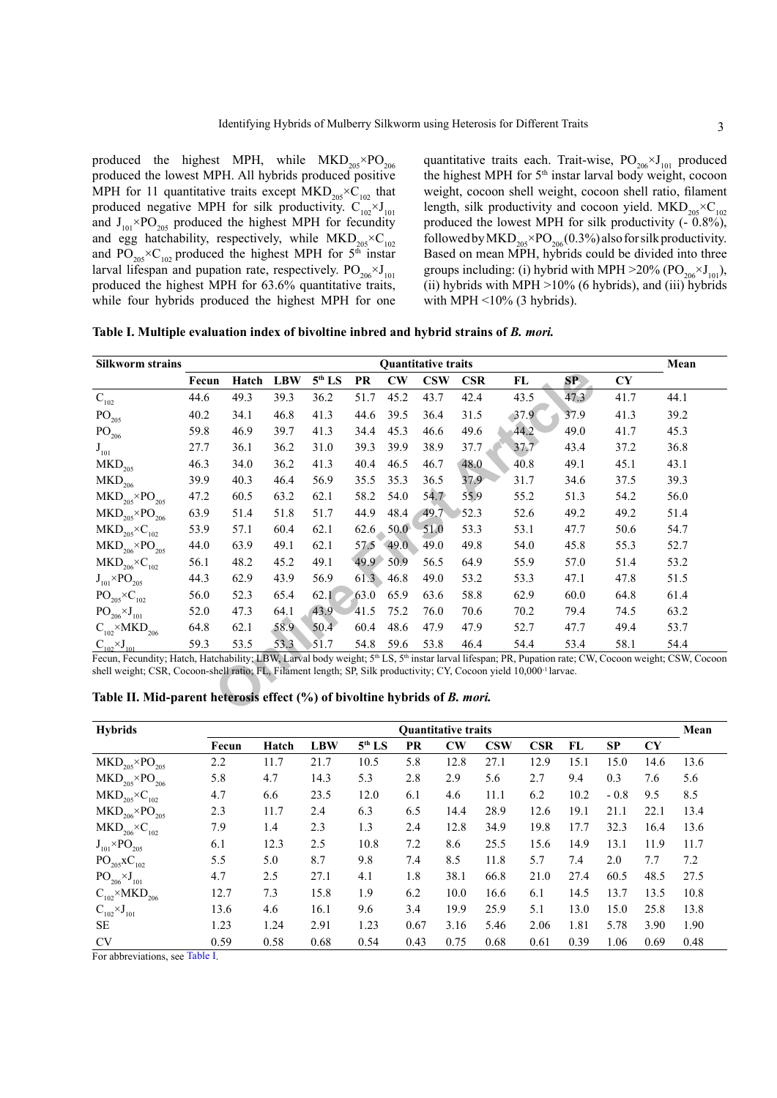produced the highest MPH, while  $MKD_{205} \times PO_{206}$ produced the lowest MPH. All hybrids produced positive MPH for 11 quantitative traits except  $MKD_{205} \times C_{102}$  that produced negative MPH for silk productivity.  $C_{102}^{-} \times J_{101}$ and  $J_{101} \times PO_{205}$  produced the highest MPH for fecundity and egg hatchability, respectively, while  $MKD_{205} \times C_{102}$ and  $PO_{205} \times C_{102}$  produced the highest MPH for 5<sup>th</sup> instar larval lifespan and pupation rate, respectively.  $PO_{206} \times J_{101}$ produced the highest MPH for 63.6% quantitative traits, while four hybrids produced the highest MPH for one

quantitative traits each. Trait-wise,  $PO_{206} \times J_{101}$  produced the highest MPH for 5<sup>th</sup> instar larval body weight, cocoon weight, cocoon shell weight, cocoon shell ratio, filament length, silk productivity and cocoon yield.  $\text{MKD}_{205} \times \text{C}_{102}$ produced the lowest MPH for silk productivity (- 0.8%), followed by MKD<sub>205</sub>×PO<sub>206</sub>(0.3%) also for silk productivity. Based on mean MPH, hybrids could be divided into three groups including: (i) hybrid with MPH  $>$ 20% (PO<sub>206</sub> $\times$ J<sub>101</sub>), (ii) hybrids with MPH  $>10\%$  (6 hybrids), and (iii) hybrids with MPH  $<$  10% (3 hybrids).

<span id="page-2-0"></span>**Table I. Multiple evaluation index of bivoltine inbred and hybrid strains of** *B. mori.*

| <b>Silkworm strains</b>                                                                                                                                                                                                                                                                   | <b>Quantitative traits</b><br>Mean |                                                                            |            |                    |           |                        |            |            |      |      |           |      |  |
|-------------------------------------------------------------------------------------------------------------------------------------------------------------------------------------------------------------------------------------------------------------------------------------------|------------------------------------|----------------------------------------------------------------------------|------------|--------------------|-----------|------------------------|------------|------------|------|------|-----------|------|--|
|                                                                                                                                                                                                                                                                                           | Fecun                              | Hatch                                                                      | <b>LBW</b> | 5 <sup>th</sup> LS | <b>PR</b> | $\mathbf{C}\mathbf{W}$ | <b>CSW</b> | <b>CSR</b> | FL   | SP   | <b>CY</b> |      |  |
| $\mathbf{C}_{102}$                                                                                                                                                                                                                                                                        | 44.6                               | 49.3                                                                       | 39.3       | 36.2               | 51.7      | 45.2                   | 43.7       | 42.4       | 43.5 | 47.3 | 41.7      | 44.1 |  |
| PO <sub>205</sub>                                                                                                                                                                                                                                                                         | 40.2                               | 34.1                                                                       | 46.8       | 41.3               | 44.6      | 39.5                   | 36.4       | 31.5       | 37.9 | 37.9 | 41.3      | 39.2 |  |
| $\mathrm{PO}_{206}$                                                                                                                                                                                                                                                                       | 59.8                               | 46.9                                                                       | 39.7       | 41.3               | 34.4      | 45.3                   | 46.6       | 49.6       | 44.2 | 49.0 | 41.7      | 45.3 |  |
| $J_{101}$                                                                                                                                                                                                                                                                                 | 27.7                               | 36.1                                                                       | 36.2       | 31.0               | 39.3      | 39.9                   | 38.9       | 37.7       | 37.7 | 43.4 | 37.2      | 36.8 |  |
| $\mathrm{MKD}_{205}$                                                                                                                                                                                                                                                                      | 46.3                               | 34.0                                                                       | 36.2       | 41.3               | 40.4      | 46.5                   | 46.7       | 48.0       | 40.8 | 49.1 | 45.1      | 43.1 |  |
| $\mathrm{MKD}_{\mathrm{206}}$                                                                                                                                                                                                                                                             | 39.9                               | 40.3                                                                       | 46.4       | 56.9               | 35.5      | 35.3                   | 36.5       | 37.9       | 31.7 | 34.6 | 37.5      | 39.3 |  |
| $\text{MKD}_{205} \times \text{PO}_{205}$                                                                                                                                                                                                                                                 | 47.2                               | 60.5                                                                       | 63.2       | 62.1               | 58.2      | 54.0                   | 54.7       | 55.9       | 55.2 | 51.3 | 54.2      | 56.0 |  |
| $\text{MKD}_{\text{205}}\!\!\times\!\!\text{PO}_{\text{206}}$                                                                                                                                                                                                                             | 63.9                               | 51.4                                                                       | 51.8       | 51.7               | 44.9      | 48.4                   | 49.7       | 52.3       | 52.6 | 49.2 | 49.2      | 51.4 |  |
| $\text{MKD}_{\text{205}}\!\!\times\!\text{C}_{\text{102}}$                                                                                                                                                                                                                                | 53.9                               | 57.1                                                                       | 60.4       | 62.1               | 62.6      | 50.0                   | 51.0       | 53.3       | 53.1 | 47.7 | 50.6      | 54.7 |  |
| $\text{MKD}_{\text{206}}\!\!\times\!\!\text{PO}_{\text{205}}$                                                                                                                                                                                                                             | 44.0                               | 63.9                                                                       | 49.1       | 62.1               | 57.5      | 49.0                   | 49.0       | 49.8       | 54.0 | 45.8 | 55.3      | 52.7 |  |
| $\text{MKD}_{\text{206}}\!\!\times\!\text{C}_{\text{102}}$                                                                                                                                                                                                                                | 56.1                               | 48.2                                                                       | 45.2       | 49.1               | 49.9      | 50.9                   | 56.5       | 64.9       | 55.9 | 57.0 | 51.4      | 53.2 |  |
| $\mathrm{J_{101} \times PO_{205}}$                                                                                                                                                                                                                                                        | 44.3                               | 62.9                                                                       | 43.9       | 56.9               | 61.3      | 46.8                   | 49.0       | 53.2       | 53.3 | 47.1 | 47.8      | 51.5 |  |
| $PO_{205} \times C_{102}$                                                                                                                                                                                                                                                                 | 56.0                               | 52.3                                                                       | 65.4       | 62.1               | 63.0      | 65.9                   | 63.6       | 58.8       | 62.9 | 60.0 | 64.8      | 61.4 |  |
| $PO_{206} \times J_{101}$                                                                                                                                                                                                                                                                 | 52.0                               | 47.3                                                                       | 64.1       | 43.9               | 41.5      | 75.2                   | 76.0       | 70.6       | 70.2 | 79.4 | 74.5      | 63.2 |  |
| $\text{C}_{\text{102}}\!\!\times\!\!\text{MKD}_{\text{206}}$                                                                                                                                                                                                                              | 64.8                               | 62.1                                                                       | 58.9       | 50.4               | 60.4      | 48.6                   | 47.9       | 47.9       | 52.7 | 47.7 | 49.4      | 53.7 |  |
| $C_{102} \times J_{101}$                                                                                                                                                                                                                                                                  | 59.3                               | 53.5                                                                       | 53.3       | 51.7               | 54.8      | 59.6                   | 53.8       | 46.4       | 54.4 | 53.4 | 58.1      | 54.4 |  |
| Fecun, Fecundity; Hatch, Hatchability; LBW, Larval body weight; 5th LS, 5th instar larval lifespan; PR, Pupation rate; CW, Cocoon weight; CSW, Cocoon<br>shell weight; CSR, Cocoon-shell ratio; FL, Filament length; SP, Silk productivity; CY, Cocoon yield 10,000 <sup>-1</sup> larvae. |                                    |                                                                            |            |                    |           |                        |            |            |      |      |           |      |  |
|                                                                                                                                                                                                                                                                                           |                                    | Table II. Mid-parent heterosis effect (%) of bivoltine hybrids of B. mori. |            |                    |           |                        |            |            |      |      |           |      |  |

<span id="page-2-1"></span>

| Table II. Mid-parent heterosis effect (%) of bivoltine hybrids of <i>B. mori</i> . |  |  |
|------------------------------------------------------------------------------------|--|--|
|------------------------------------------------------------------------------------|--|--|

| <b>Hybrids</b>                                                 | <b>Quantitative traits</b><br>Mean |       |            |                    |      |                        |           |      |      |           |           |      |
|----------------------------------------------------------------|------------------------------------|-------|------------|--------------------|------|------------------------|-----------|------|------|-----------|-----------|------|
|                                                                | Fecun                              | Hatch | <b>LBW</b> | 5 <sup>th</sup> LS | PR   | $\mathbf{C}\mathbf{W}$ | $\bf CSW$ | CSR  | FL   | <b>SP</b> | <b>CY</b> |      |
| $\text{MKD}_{205} \times \text{PO}_{205}$                      | 2.2                                | 11.7  | 21.7       | 10.5               | 5.8  | 12.8                   | 27.1      | 12.9 | 15.1 | 15.0      | 14.6      | 13.6 |
| $\text{MKD}_{205} \times \text{PO}_{206}$                      | 5.8                                | 4.7   | 14.3       | 5.3                | 2.8  | 2.9                    | 5.6       | 2.7  | 9.4  | 0.3       | 7.6       | 5.6  |
| $\text{MKD}_{205} \times \text{C}_{102}$                       | 4.7                                | 6.6   | 23.5       | 12.0               | 6.1  | 4.6                    | 11.1      | 6.2  | 10.2 | $-0.8$    | 9.5       | 8.5  |
| $\text{MKD}_{\text{206}}\!\!\times\!\! \text{PO}_{\text{205}}$ | 2.3                                | 11.7  | 2.4        | 6.3                | 6.5  | 14.4                   | 28.9      | 12.6 | 19.1 | 21.1      | 22.1      | 13.4 |
| $\text{MKD}_{206} \times C_{102}$                              | 7.9                                | 1.4   | 2.3        | 1.3                | 2.4  | 12.8                   | 34.9      | 19.8 | 17.7 | 32.3      | 16.4      | 13.6 |
| $J_{101} \times PO_{205}$                                      | 6.1                                | 12.3  | 2.5        | 10.8               | 7.2  | 8.6                    | 25.5      | 15.6 | 14.9 | 13.1      | 11.9      | 11.7 |
| $PO_{205}XC_{102}$                                             | 5.5                                | 5.0   | 8.7        | 9.8                | 7.4  | 8.5                    | 11.8      | 5.7  | 7.4  | 2.0       | 7.7       | 7.2  |
| $PO_{206} \times J_{101}$                                      | 4.7                                | 2.5   | 27.1       | 4.1                | 1.8  | 38.1                   | 66.8      | 21.0 | 27.4 | 60.5      | 48.5      | 27.5 |
| $C_{102}^{\ } \times \mathrm{MKD}_{206}$                       | 12.7                               | 7.3   | 15.8       | 1.9                | 6.2  | 10.0                   | 16.6      | 6.1  | 14.5 | 13.7      | 13.5      | 10.8 |
| $C_{102} \times J_{101}$                                       | 13.6                               | 4.6   | 16.1       | 9.6                | 3.4  | 19.9                   | 25.9      | 5.1  | 13.0 | 15.0      | 25.8      | 13.8 |
| <b>SE</b>                                                      | 1.23                               | 1.24  | 2.91       | 1.23               | 0.67 | 3.16                   | 5.46      | 2.06 | 1.81 | 5.78      | 3.90      | 1.90 |
| <b>CV</b>                                                      | 0.59                               | 0.58  | 0.68       | 0.54               | 0.43 | 0.75                   | 0.68      | 0.61 | 0.39 | 1.06      | 0.69      | 0.48 |

For abbreviations, see [Table I](#page-2-0).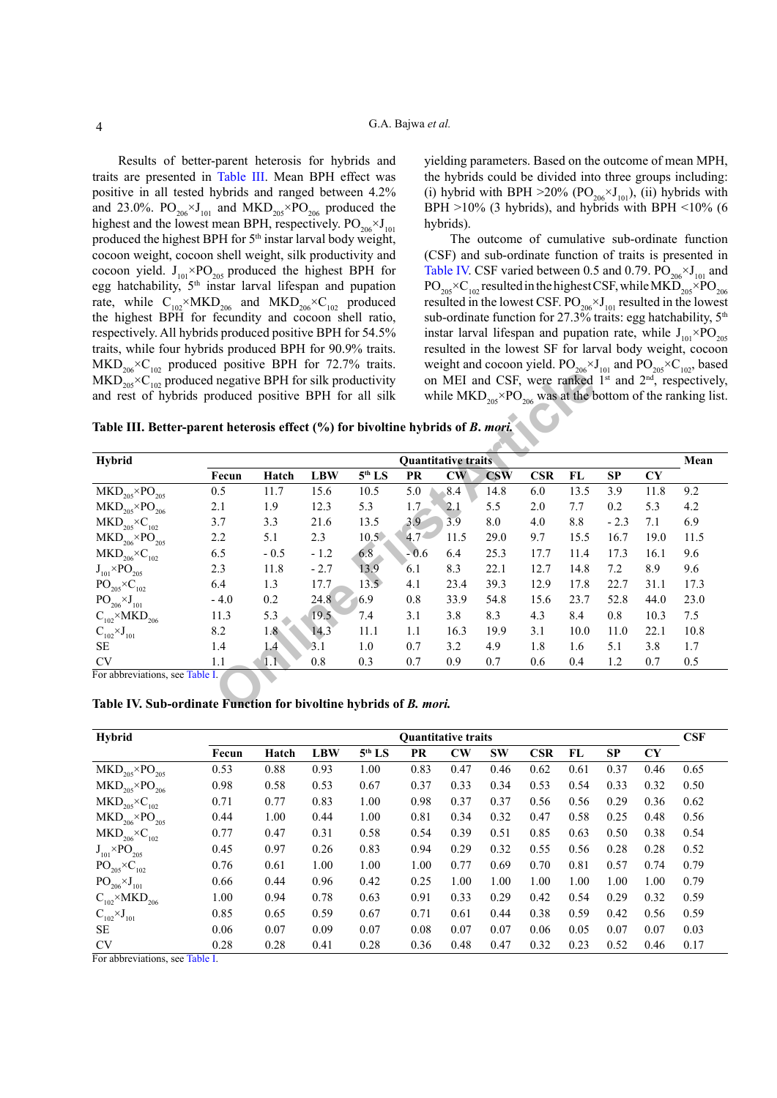Results of better-parent heterosis for hybrids and traits are presented in [Table III.](#page-3-0) Mean BPH effect was positive in all tested hybrids and ranged between 4.2% and 23.0%.  $PO<sub>206</sub> \times J<sub>101</sub>$  and  $MKD<sub>205</sub> \times PO<sub>206</sub>$  produced the highest and the lowest mean BPH, respectively.  $PO_{206} \times J_{101}$ produced the highest BPH for 5<sup>th</sup> instar larval body weight, cocoon weight, cocoon shell weight, silk productivity and cocoon yield.  $J_{101} \times PO_{205}$  produced the highest BPH for egg hatchability, 5th instar larval lifespan and pupation rate, while  $C_{102} \times MKD_{206}$  and  $MKD_{206} \times C_{102}$  produced the highest BPH for fecundity and cocoon shell ratio, respectively. All hybrids produced positive BPH for 54.5% traits, while four hybrids produced BPH for 90.9% traits.  $MKD_{206} \times C_{102}$  produced positive BPH for 72.7% traits.  $MKD_{205} \times C_{102}$  produced negative BPH for silk productivity and rest of hybrids produced positive BPH for all silk

yielding parameters. Based on the outcome of mean MPH, the hybrids could be divided into three groups including: (i) hybrid with BPH  $>20\%$  (PO<sub>206</sub> $\times$ J<sub>101</sub>), (ii) hybrids with BPH  $>10\%$  (3 hybrids), and hybrids with BPH  $<10\%$  (6 hybrids).

The outcome of cumulative sub-ordinate function (CSF) and sub-ordinate function of traits is presented in [Table IV.](#page-3-1) CSF varied between 0.5 and 0.79.  $PO_{206} \times J_{101}$  and  $PO_{205} \times C_{102}$  resulted in the highest CSF, while MKD<sub>205</sub>  $\times$ PO<sub>206</sub> resulted in the lowest CSF.  $PO_{206} \times J_{101}$  resulted in the lowest sub-ordinate function for 27.3% traits: egg hatchability, 5<sup>th</sup> instar larval lifespan and pupation rate, while  $J_{101} \times PO_{205}$ resulted in the lowest SF for larval body weight, cocoon weight and cocoon yield.  $PO_{206} \times J_{101}$  and  $PO_{205} \times C_{102}$ , based on MEI and CSF, were ranked  $1<sup>st</sup>$  and  $2<sup>nd</sup>$ , respectively, while  $\text{MKD}_{205} \times \text{PO}_{206}$  was at the bottom of the ranking list.

<span id="page-3-0"></span>**Table III. Better-parent heterosis effect (%) for bivoltine hybrids of** *B***.** *mori.*

| Table III. Better-parent heterosis effect (%) for bivoltine hybrids of B. mori. |        |                                                                                                                                                                       |        |                |                  |      |      |      |      |        |      |      |  |
|---------------------------------------------------------------------------------|--------|-----------------------------------------------------------------------------------------------------------------------------------------------------------------------|--------|----------------|------------------|------|------|------|------|--------|------|------|--|
| <b>Hybrid</b>                                                                   |        | <b>Quantitative traits</b><br>5 <sup>th</sup> LS<br>CW<br>$\overline{\text{CSW}}$<br><b>CSR</b><br>FL<br><b>SP</b><br><b>CY</b><br><b>LBW</b><br>PR<br>Hatch<br>Fecun |        |                |                  |      |      |      |      |        |      |      |  |
| $\text{MKD}_{205} \times \text{PO}_{205}$                                       | 0.5    | 11.7                                                                                                                                                                  | 15.6   | 10.5           | 5.0              | 8.4  | 14.8 | 6.0  | 13.5 | 3.9    | 11.8 | 9.2  |  |
| $\text{MKD}_{205} \times \text{PO}_{206}$                                       | 2.1    | 1.9                                                                                                                                                                   | 12.3   | 5.3            | 1.7              | 2.1  | 5.5  | 2.0  | 7.7  | 0.2    | 5.3  | 4.2  |  |
| $\text{MKD}_{\text{205}}\!\!\times\!\text{C}_{\text{102}}$                      | 3.7    | 3.3                                                                                                                                                                   | 21.6   | 13.5           | 3.9              | 3.9  | 8.0  | 4.0  | 8.8  | $-2.3$ | 7.1  | 6.9  |  |
| $\text{MKD}_{\text{206}}\!\!\times\!\!\text{PO}_{\text{205}}$                   | 2.2    | 5.1                                                                                                                                                                   | 2.3    | $10.5\degree$  | 4.7 <sup>°</sup> | 11.5 | 29.0 | 9.7  | 15.5 | 16.7   | 19.0 | 11.5 |  |
| $\text{MKD}_{\text{206}}\!\!\times\!\text{C}_{\text{102}}$                      | 6.5    | $-0.5$                                                                                                                                                                | $-1.2$ | 6.8            | $-0.6$           | 6.4  | 25.3 | 17.7 | 11.4 | 17.3   | 16.1 | 9.6  |  |
| $J_{101} \times PO_{205}$                                                       | 2.3    | 11.8                                                                                                                                                                  | $-2.7$ | 13.9           | 6.1              | 8.3  | 22.1 | 12.7 | 14.8 | 7.2    | 8.9  | 9.6  |  |
| $PO_{205} \times C_{102}$                                                       | 6.4    | 1.3                                                                                                                                                                   | 17.7   | $13.5^{\circ}$ | 4.1              | 23.4 | 39.3 | 12.9 | 17.8 | 22.7   | 31.1 | 17.3 |  |
| $PO_{206} \times J_{101}$                                                       | $-4.0$ | 0.2                                                                                                                                                                   | 24.8   | 6.9            | 0.8              | 33.9 | 54.8 | 15.6 | 23.7 | 52.8   | 44.0 | 23.0 |  |
| $C_{102} \times MKD_{206}$                                                      | 11.3   | 5.3                                                                                                                                                                   | 19.5   | 7.4            | 3.1              | 3.8  | 8.3  | 4.3  | 8.4  | 0.8    | 10.3 | 7.5  |  |
| $C_{102} \times J_{101}$                                                        | 8.2    | 1.8 <sub>1</sub>                                                                                                                                                      | 14.3   | 11.1           | 1.1              | 16.3 | 19.9 | 3.1  | 10.0 | 11.0   | 22.1 | 10.8 |  |
| SE                                                                              | 1.4    | 1.4                                                                                                                                                                   | 3.1    | 1.0            | 0.7              | 3.2  | 4.9  | 1.8  | 1.6  | 5.1    | 3.8  | 1.7  |  |
| <b>CV</b>                                                                       | 1.1    | $1.1\sqrt{ }$                                                                                                                                                         | 0.8    | 0.3            | 0.7              | 0.9  | 0.7  | 0.6  | 0.4  | 1.2    | 0.7  | 0.5  |  |

#### <span id="page-3-1"></span>**Table IV. Sub-ordinate Function for bivoltine hybrids of** *B. mori.*

| <b>Hybrid</b>                                                 | CSF<br><b>Quantitative traits</b> |       |            |                    |      |                        |           |            |      |           |           |      |
|---------------------------------------------------------------|-----------------------------------|-------|------------|--------------------|------|------------------------|-----------|------------|------|-----------|-----------|------|
|                                                               | Fecun                             | Hatch | <b>LBW</b> | 5 <sup>th</sup> LS | PR   | $\mathbf{C}\mathbf{W}$ | <b>SW</b> | <b>CSR</b> | FL   | <b>SP</b> | <b>CY</b> |      |
| $\text{MKD}_{205} \times \text{PO}_{205}$                     | 0.53                              | 0.88  | 0.93       | 1.00               | 0.83 | 0.47                   | 0.46      | 0.62       | 0.61 | 0.37      | 0.46      | 0.65 |
| $\text{MKD}_{205} \times \text{PO}_{206}$                     | 0.98                              | 0.58  | 0.53       | 0.67               | 0.37 | 0.33                   | 0.34      | 0.53       | 0.54 | 0.33      | 0.32      | 0.50 |
| $\text{MKD}_{205} \times \text{C}_{102}$                      | 0.71                              | 0.77  | 0.83       | 1.00               | 0.98 | 0.37                   | 0.37      | 0.56       | 0.56 | 0.29      | 0.36      | 0.62 |
| $\text{MKD}_{\text{206}}\!\!\times\!\!\text{PO}_{\text{205}}$ | 0.44                              | 1.00  | 0.44       | 1.00               | 0.81 | 0.34                   | 0.32      | 0.47       | 0.58 | 0.25      | 0.48      | 0.56 |
| $\text{MKD}_{206} \times \text{C}_{102}$                      | 0.77                              | 0.47  | 0.31       | 0.58               | 0.54 | 0.39                   | 0.51      | 0.85       | 0.63 | 0.50      | 0.38      | 0.54 |
| $\text{J}_{101}{\times}\text{PO}_{205}$                       | 0.45                              | 0.97  | 0.26       | 0.83               | 0.94 | 0.29                   | 0.32      | 0.55       | 0.56 | 0.28      | 0.28      | 0.52 |
| $PO_{205} \times C_{102}$                                     | 0.76                              | 0.61  | 1.00       | 1.00               | 1.00 | 0.77                   | 0.69      | 0.70       | 0.81 | 0.57      | 0.74      | 0.79 |
| $PO_{206} \times J_{101}$                                     | 0.66                              | 0.44  | 0.96       | 0.42               | 0.25 | 1.00                   | 1.00      | 1.00       | 1.00 | 1.00      | 1.00      | 0.79 |
| $C_{102}\times MKD_{206}$                                     | 1.00                              | 0.94  | 0.78       | 0.63               | 0.91 | 0.33                   | 0.29      | 0.42       | 0.54 | 0.29      | 0.32      | 0.59 |
| $C_{102} \times J_{101}$                                      | 0.85                              | 0.65  | 0.59       | 0.67               | 0.71 | 0.61                   | 0.44      | 0.38       | 0.59 | 0.42      | 0.56      | 0.59 |
| <b>SE</b>                                                     | 0.06                              | 0.07  | 0.09       | 0.07               | 0.08 | 0.07                   | 0.07      | 0.06       | 0.05 | 0.07      | 0.07      | 0.03 |
| <b>CV</b>                                                     | 0.28                              | 0.28  | 0.41       | 0.28               | 0.36 | 0.48                   | 0.47      | 0.32       | 0.23 | 0.52      | 0.46      | 0.17 |

For abbreviations, see [Table I](#page-2-0).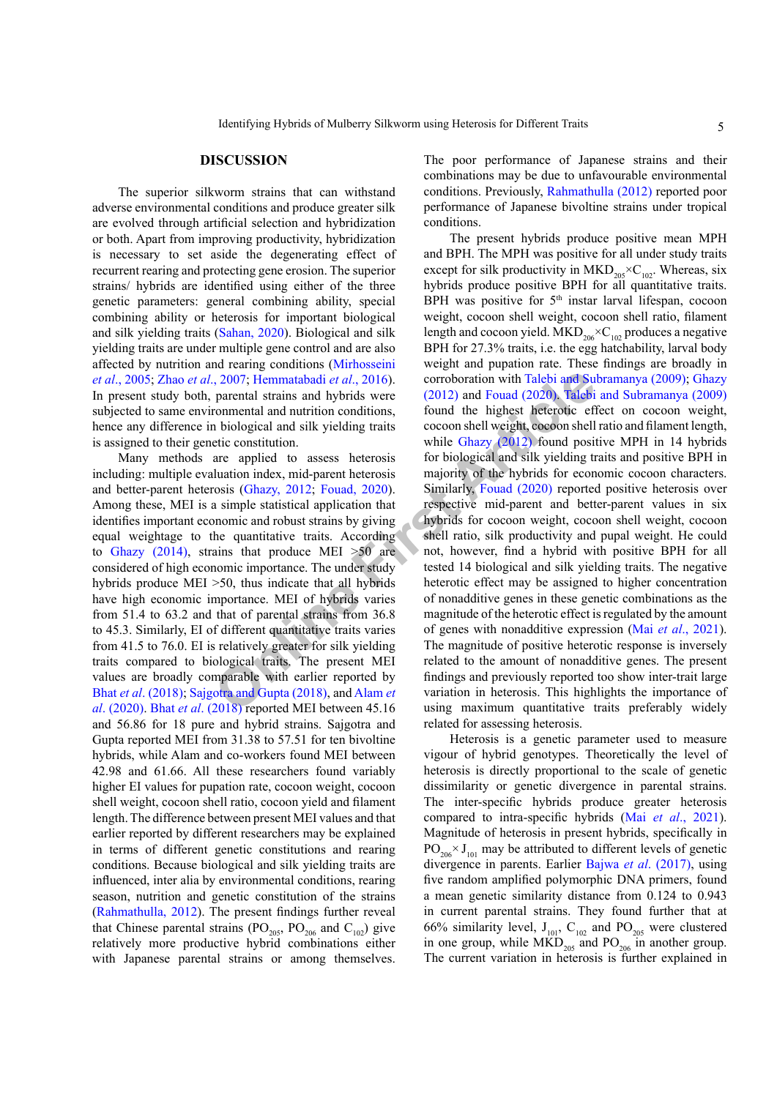The superior silkworm strains that can withstand adverse environmental conditions and produce greater silk are evolved through artificial selection and hybridization or both. Apart from improving productivity, hybridization is necessary to set aside the degenerating effect of recurrent rearing and protecting gene erosion. The superior strains/ hybrids are identified using either of the three genetic parameters: general combining ability, special combining ability or heterosis for important biological and silk yielding traits ([Sahan, 2020\)](#page-6-9). Biological and silk yielding traits are under multiple gene control and are also affected by nutrition and rearing conditions [\(Mirhosseini](#page-6-12) *et al*[., 2005;](#page-6-12) Zhao *et al*., 2007; Hemmatabadi *et al*., 2016). In present study both, parental strains and hybrids were subjected to same environmental and nutrition conditions, hence any difference in biological and silk yielding traits is assigned to their genetic constitution.

Many methods are applied to assess heterosis including: multiple evaluation index, mid-parent heterosis and better-parent heterosis (Ghazy, 2012; Fouad, 2020). Among these, MEI is a simple statistical application that identifies important economic and robust strains by giving equal weightage to the quantitative traits. According to [Ghazy \(2014\),](#page-5-12) strains that produce MEI >50 are considered of high economic importance. The under study hybrids produce MEI >50, thus indicate that all hybrids have high economic importance. MEI of hybrids varies from 51.4 to 63.2 and that of parental strains from 36.8 to 45.3. Similarly, EI of different quantitative traits varies from 41.5 to 76.0. EI is relatively greater for silk yielding traits compared to biological traits. The present MEI values are broadly comparable with earlier reported by Bhat *et al*[. \(2018\)](#page-5-14); Sajgotra and Gupta (2018), and Alam *et al*[. \(2020\)](#page-5-15). Bhat *et al*[. \(2018\)](#page-5-14) reported MEI between 45.16 and 56.86 for 18 pure and hybrid strains. Sajgotra and Gupta reported MEI from 31.38 to 57.51 for ten bivoltine hybrids, while Alam and co-workers found MEI between 42.98 and 61.66. All these researchers found variably higher EI values for pupation rate, cocoon weight, cocoon shell weight, cocoon shell ratio, cocoon yield and filament length. The difference between present MEI values and that earlier reported by different researchers may be explained in terms of different genetic constitutions and rearing conditions. Because biological and silk yielding traits are influenced, inter alia by environmental conditions, rearing season, nutrition and genetic constitution of the strains [\(Rahmathulla, 2012](#page-6-14)). The present findings further reveal that Chinese parental strains ( $PO_{205}$ ,  $PO_{206}$  and  $C_{102}$ ) give relatively more productive hybrid combinations either with Japanese parental strains or among themselves.

The poor performance of Japanese strains and their combinations may be due to unfavourable environmental conditions. Previously, [Rahmathulla \(2012\)](#page-6-14) reported poor performance of Japanese bivoltine strains under tropical conditions.

2007; Hemmatabadi *et al.*, 2016). corroboration with Talebi and Su parental strains and hybrids were (2012) and Fouad (2020). Talebi connental and nutrition conditions, found the highest heterotic eff biological and silk The present hybrids produce positive mean MPH and BPH. The MPH was positive for all under study traits except for silk productivity in  $MKD_{205} \times C_{102}$ . Whereas, six hybrids produce positive BPH for all quantitative traits. BPH was positive for  $5<sup>th</sup>$  instar larval lifespan, cocoon weight, cocoon shell weight, cocoon shell ratio, filament length and cocoon yield. MKD<sub>206</sub> $\times$ C<sub>102</sub> produces a negative BPH for 27.3% traits, i.e. the egg hatchability, larval body weight and pupation rate. These findings are broadly in corroboration with [Talebi and Subramanya \(2009\);](#page-6-15) [Ghazy](#page-5-8) (2012) and Fouad (2020). [Talebi and Subramanya \(2009\)](#page-6-15) found the highest heterotic effect on cocoon weight, cocoon shell weight, cocoon shell ratio and filament length, while Ghazy (2012) found positive MPH in 14 hybrids for biological and silk yielding traits and positive BPH in majority of the hybrids for economic cocoon characters. Similarly, Fouad (2020) reported positive heterosis over respective mid-parent and better-parent values in six hybrids for cocoon weight, cocoon shell weight, cocoon shell ratio, silk productivity and pupal weight. He could not, however, find a hybrid with positive BPH for all tested 14 biological and silk yielding traits. The negative heterotic effect may be assigned to higher concentration of nonadditive genes in these genetic combinations as the magnitude of the heterotic effect is regulated by the amount of genes with nonadditive expression (Mai *et al*[., 2021](#page-6-16)). The magnitude of positive heterotic response is inversely related to the amount of nonadditive genes. The present findings and previously reported too show inter-trait large variation in heterosis. This highlights the importance of using maximum quantitative traits preferably widely related for assessing heterosis.

> Heterosis is a genetic parameter used to measure vigour of hybrid genotypes. Theoretically the level of heterosis is directly proportional to the scale of genetic dissimilarity or genetic divergence in parental strains. The inter-specific hybrids produce greater heterosis compared to intra-specific hybrids (Mai *et al*[., 2021](#page-6-16)). Magnitude of heterosis in present hybrids, specifically in  $PO<sub>206</sub> × J<sub>101</sub>$  may be attributed to different levels of genetic divergence in parents. Earlier Bajwa *et al*[. \(2017\)](#page-5-0), using five random amplified polymorphic DNA primers, found a mean genetic similarity distance from 0.124 to 0.943 in current parental strains. They found further that at 66% similarity level,  $J_{101}$ ,  $C_{102}$  and PO<sub>205</sub> were clustered in one group, while  $MKD_{205}$  and  $PO_{206}$  in another group. The current variation in heterosis is further explained in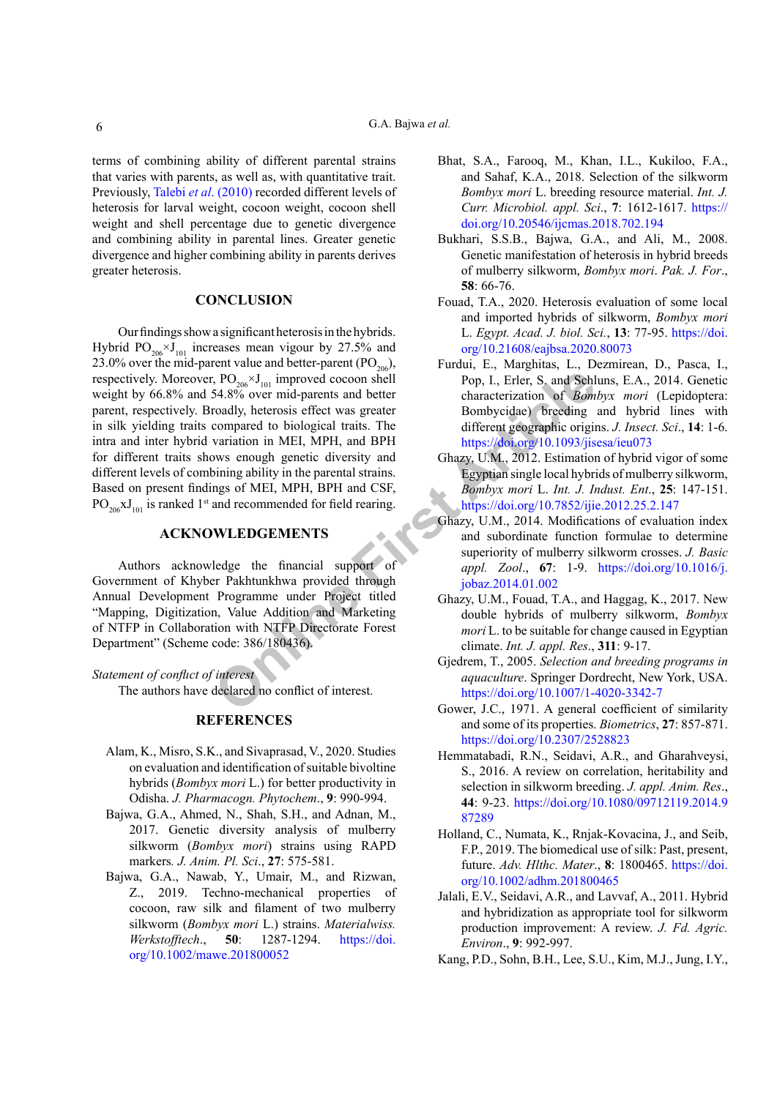terms of combining ability of different parental strains that varies with parents, as well as, with quantitative trait. Previously, Talebi *et al*[. \(2010\)](#page-6-10) recorded different levels of heterosis for larval weight, cocoon weight, cocoon shell weight and shell percentage due to genetic divergence and combining ability in parental lines. Greater genetic divergence and higher combining ability in parents derives greater heterosis.

### **CONCLUSION**

**Solution** A specifical spectrum and better that the specified to biological traits. The compared to biological traits are the characterization of *Bom*<br>
variation in MEI, MPH, and BPH and BPH and the specified critical sp Our findings show a significant heterosis in the hybrids. Hybrid  $PO_{206} \times J_{101}$  increases mean vigour by 27.5% and 23.0% over the mid-parent value and better-parent  $(PO<sub>206</sub>)$ , respectively. Moreover,  $PO_{206} \times J_{101}$  improved cocoon shell weight by 66.8% and 54.8% over mid-parents and better parent, respectively. Broadly, heterosis effect was greater in silk yielding traits compared to biological traits. The intra and inter hybrid variation in MEI, MPH, and BPH for different traits shows enough genetic diversity and different levels of combining ability in the parental strains. Based on present findings of MEI, MPH, BPH and CSF,  $PO_{206}xJ_{101}$  is ranked 1<sup>st</sup> and recommended for field rearing.

### **ACKNOWLEDGEMENTS**

Authors acknowledge the financial support of Government of Khyber Pakhtunkhwa provided through Annual Development Programme under Project titled "Mapping, Digitization, Value Addition and Marketing of NTFP in Collaboration with NTFP Directorate Forest Department" (Scheme code: 386/180436).

*Statement of conflıct of interest*

The authors have declared no conflict of interest.

## **REFERENCES**

- <span id="page-5-15"></span>Alam, K., Misro, S.K., and Sivaprasad, V., 2020. Studies on evaluation and identification of suitable bivoltine hybrids (*Bombyx mori* L.) for better productivity in Odisha. *J. Pharmacogn. Phytochem*., **9**: 990-994.
- <span id="page-5-0"></span>Bajwa, G.A., Ahmed, N., Shah, S.H., and Adnan, M., 2017. Genetic diversity analysis of mulberry silkworm (*Bombyx mori*) strains using RAPD markers*. J. Anim. Pl. Sci*., **27**: 575-581.
- <span id="page-5-1"></span>Bajwa, G.A., Nawab, Y., Umair, M., and Rizwan, Z., 2019. Techno-mechanical properties of cocoon, raw silk and filament of two mulberry silkworm (*Bombyx mori* L.) strains. *Materialwiss. Werkstofftech*., **50**: 1287-1294. [https://doi.](https://doi.org/10.1002/mawe.201800052) [org/10.1002/mawe.201800052](https://doi.org/10.1002/mawe.201800052)
- <span id="page-5-14"></span>Bhat, S.A., Farooq, M., Khan, I.L., Kukiloo, F.A., and Sahaf, K.A., 2018. Selection of the silkworm *Bombyx mori* L. breeding resource material. *Int. J. Curr. Microbiol. appl. Sci*., **7**: 1612-1617. [https://](https://doi.org/10.20546/ijcmas.2018.702.194) [doi.org/10.20546/ijcmas.2018.702.194](https://doi.org/10.20546/ijcmas.2018.702.194)
- <span id="page-5-11"></span>Bukhari, S.S.B., Bajwa, G.A., and Ali, M., 2008. Genetic manifestation of heterosis in hybrid breeds of mulberry silkworm, *Bombyx mori*. *Pak. J. For*., **58**: 66-76.
- <span id="page-5-10"></span>Fouad, T.A., 2020. Heterosis evaluation of some local and imported hybrids of silkworm, *Bombyx mori*  L. *Egypt. Acad. J. biol. Sci.*, **13**: 77-95. [https://doi.](https://doi.org/10.21608/eajbsa.2020.80073) [org/10.21608/eajbsa.2020.80073](https://doi.org/10.21608/eajbsa.2020.80073)
- <span id="page-5-4"></span>Furdui, E., Marghitas, L., Dezmirean, D., Pasca, I., Pop, I., Erler, S. and Schluns, E.A., 2014. Genetic characterization of *Bombyx mori* (Lepidoptera: Bombycidae) breeding and hybrid lines with different geographic origins. *J. Insect. Sci*., **14**: 1-6. <https://doi.org/10.1093/jisesa/ieu073>
- <span id="page-5-8"></span>Ghazy, U.M., 2012. Estimation of hybrid vigor of some Egyptian single local hybrids of mulberry silkworm, *Bombyx mori* L. *Int. J. Indust. Ent*., **25**: 147-151. <https://doi.org/10.7852/ijie.2012.25.2.147>
- <span id="page-5-12"></span>Ghazy, U.M., 2014. Modifications of evaluation index and subordinate function formulae to determine superiority of mulberry silkworm crosses. *J. Basic appl. Zool*., **67**: 1-9. [https://doi.org/10.1016/j.](https://doi.org/10.1016/j.jobaz.2014.01.002) jobaz.2014.01.002
- <span id="page-5-9"></span>Ghazy, U.M., Fouad, T.A., and Haggag, K., 2017. New double hybrids of mulberry silkworm, *Bombyx mori* L. to be suitable for change caused in Egyptian climate. *Int. J. appl. Res*., **311**: 9-17.
- <span id="page-5-5"></span>Gjedrem, T., 2005. *Selection and breeding programs in aquaculture*. Springer Dordrecht, New York, USA. <https://doi.org/10.1007/1-4020-3342-7>
- <span id="page-5-13"></span>Gower, J.C., 1971. A general coefficient of similarity and some of its properties. *Biometrics*, **27**: 857-871. <https://doi.org/10.2307/2528823>
- <span id="page-5-3"></span>Hemmatabadi, R.N., Seidavi, A.R., and Gharahveysi, S., 2016. A review on correlation, heritability and selection in silkworm breeding. *J. appl. Anim. Res*., **44**: 9-23. [https://doi.org/10.1080/09712119.2014.9](https://doi.org/10.1080/09712119.2014.987289) [87289](https://doi.org/10.1080/09712119.2014.987289)
- <span id="page-5-2"></span>Holland, C., Numata, K., Rnjak-Kovacina, J., and Seib, F.P., 2019. The biomedical use of silk: Past, present, future. *Adv. Hlthc. Mater*., **8**: 1800465. [https://doi.](https://doi.org/10.1002/adhm.201800465) [org/10.1002/adhm.201800465](https://doi.org/10.1002/adhm.201800465)
- <span id="page-5-7"></span>Jalali, E.V., Seidavi, A.R., and Lavvaf, A., 2011. Hybrid and hybridization as appropriate tool for silkworm production improvement: A review. *J. Fd. Agric. Environ*., **9**: 992-997.
- <span id="page-5-6"></span>Kang, P.D., Sohn, B.H., Lee, S.U., Kim, M.J., Jung, I.Y.,